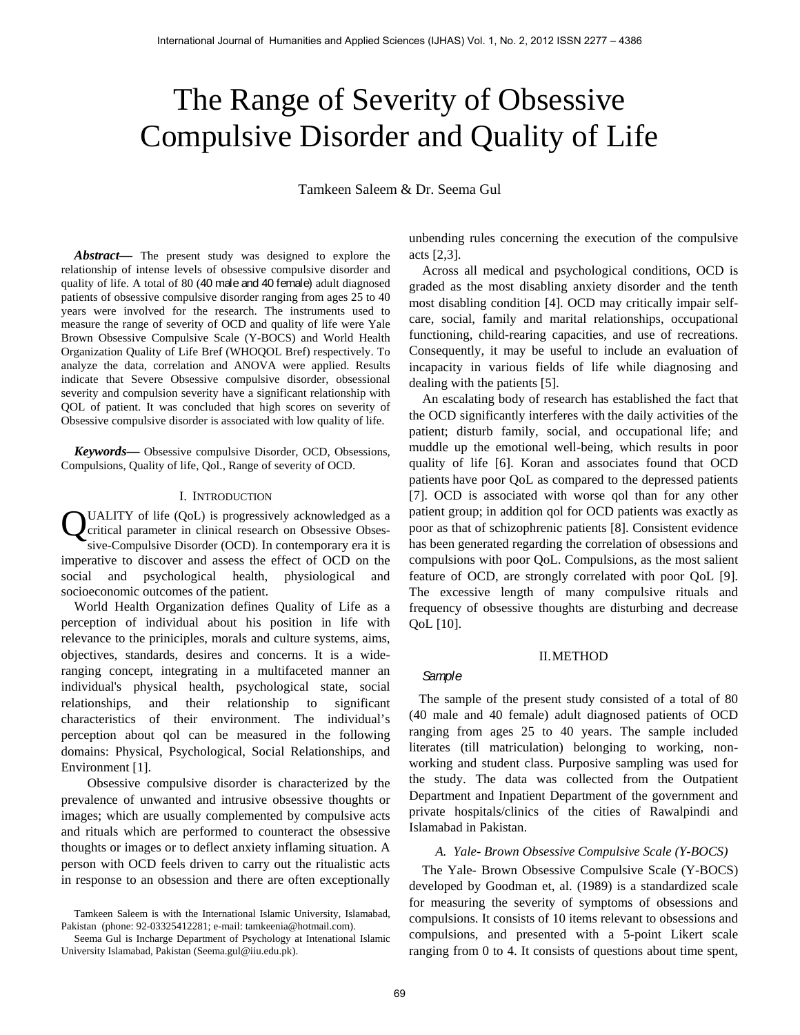# The Range of Severity of Obsessive Compulsive Disorder and Quality of Life

Tamkeen Saleem & Dr. Seema Gul

*Abstract***—** The present study was designed to explore the relationship of intense levels of obsessive compulsive disorder and quality of life. A total of 80 (40 male and 40 female) adult diagnosed patients of obsessive compulsive disorder ranging from ages 25 to 40 years were involved for the research. The instruments used to measure the range of severity of OCD and quality of life were Yale Brown Obsessive Compulsive Scale (Y-BOCS) and World Health Organization Quality of Life Bref (WHOQOL Bref) respectively. To analyze the data, correlation and ANOVA were applied. Results indicate that Severe Obsessive compulsive disorder, obsessional severity and compulsion severity have a significant relationship with QOL of patient. It was concluded that high scores on severity of Obsessive compulsive disorder is associated with low quality of life.

*Keywords***—** Obsessive compulsive Disorder, OCD, Obsessions, Compulsions, Quality of life, Qol., Range of severity of OCD.

#### I. INTRODUCTION

UALITY of life (QoL) is progressively acknowledged as a critical parameter in clinical research on Obsessive Obsessive-Compulsive Disorder (OCD). In contemporary era it is imperative to discover and assess the effect of OCD on the social and psychological health, physiological and socioeconomic outcomes of the patient. Q

 World Health Organization defines Quality of Life as a perception of individual about his position in life with relevance to the priniciples, morals and culture systems, aims, objectives, standards, desires and concerns. It is a wideranging concept, integrating in a multifaceted manner an individual's physical health, psychological state, social relationships, and their relationship to significant characteristics of their environment. The individual's perception about qol can be measured in the following domains: Physical, Psychological, Social Relationships, and Environment [1].

 Obsessive compulsive disorder is characterized by the prevalence of unwanted and intrusive obsessive thoughts or images; which are usually complemented by compulsive acts and rituals which are performed to counteract the obsessive thoughts or images or to deflect anxiety inflaming situation. A person with OCD feels driven to carry out the ritualistic acts in response to an obsession and there are often exceptionally

unbending rules concerning the execution of the compulsive acts [2,3].

 Across all medical and psychological conditions, OCD is graded as the most disabling anxiety disorder and the tenth most disabling condition [4]. OCD may critically impair selfcare, social, family and marital relationships, occupational functioning, child-rearing capacities, and use of recreations. Consequently, it may be useful to include an evaluation of incapacity in various fields of life while diagnosing and dealing with the patients [5].

 An escalating body of research has established the fact that the OCD significantly interferes with the daily activities of the patient; disturb family, social, and occupational life; and muddle up the emotional well-being, which results in poor quality of life [6]. Koran and associates found that OCD patients have poor QoL as compared to the depressed patients [7]. OCD is associated with worse qol than for any other patient group; in addition qol for OCD patients was exactly as poor as that of schizophrenic patients [8]. Consistent evidence has been generated regarding the correlation of obsessions and compulsions with poor QoL. Compulsions, as the most salient feature of OCD, are strongly correlated with poor QoL [9]. The excessive length of many compulsive rituals and frequency of obsessive thoughts are disturbing and decrease QoL [10]. International Jammari diameters have Applies Sciences (IJHAS) vol. 1, No. 2, 2012 ISSN 2277 – 4386  $\sim$  1. The Range of Severity of Life and Uullity of Life and Vol. 1, The Range of Severity of the Sciences (IJH)  $\sim$  1.

#### II.METHOD

## *Sample*

 The sample of the present study consisted of a total of 80 (40 male and 40 female) adult diagnosed patients of OCD ranging from ages 25 to 40 years. The sample included literates (till matriculation) belonging to working, nonworking and student class. Purposive sampling was used for the study. The data was collected from the Outpatient Department and Inpatient Department of the government and private hospitals/clinics of the cities of Rawalpindi and Islamabad in Pakistan.

#### *A. Yale- Brown Obsessive Compulsive Scale (Y-BOCS)*

 The Yale- Brown Obsessive Compulsive Scale (Y-BOCS) developed by Goodman et, al. (1989) is a standardized scale for measuring the severity of symptoms of obsessions and compulsions. It consists of 10 items relevant to obsessions and compulsions, and presented with a 5-point Likert scale ranging from 0 to 4. It consists of questions about time spent,

Tamkeen Saleem is with the International Islamic University, Islamabad, Pakistan (phone: 92-03325412281; e-mail: tamkeenia@hotmail.com).

Seema Gul is Incharge Department of Psychology at Intenational Islamic University Islamabad, Pakistan (Seema.gul@iiu.edu.pk).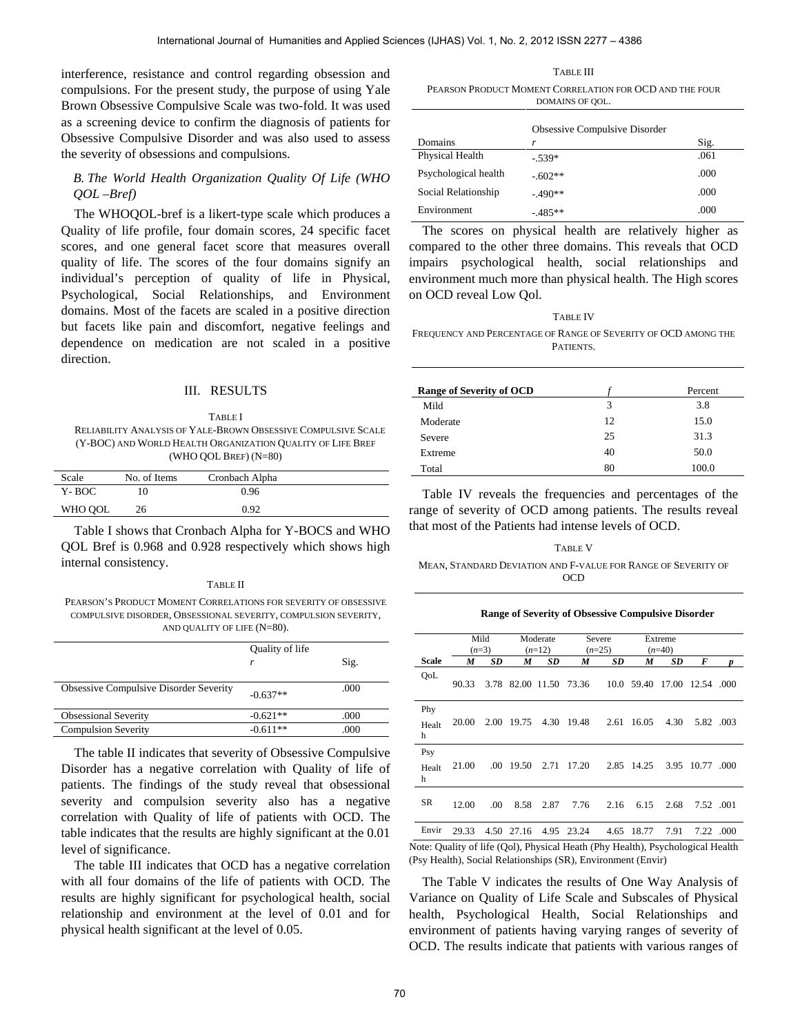interference, resistance and control regarding obsession and compulsions. For the present study, the purpose of using Yale Brown Obsessive Compulsive Scale was two-fold. It was used as a screening device to confirm the diagnosis of patients for Obsessive Compulsive Disorder and was also used to assess the severity of obsessions and compulsions.

## *B. The World Health Organization Quality Of Life (WHO QOL –Bref)*

 The WHOQOL-bref is a likert-type scale which produces a Quality of life profile, four domain scores, 24 specific facet scores, and one general facet score that measures overall quality of life. The scores of the four domains signify an individual's perception of quality of life in Physical, Psychological, Social Relationships, and Environment domains. Most of the facets are scaled in a positive direction but facets like pain and discomfort, negative feelings and dependence on medication are not scaled in a positive direction.

#### III. RESULTS

TABLE I RELIABILITY ANALYSIS OF YALE-BROWN OBSESSIVE COMPULSIVE SCALE (Y-BOC) AND WORLD HEALTH ORGANIZATION QUALITY OF LIFE BREF (WHO QOL BREF) (N=80)

| Scale   | No. of Items | Cronbach Alpha |  |
|---------|--------------|----------------|--|
| Y-BOC   |              | 0.96           |  |
| WHO OOL | 26           | 0.92           |  |

Table I shows that Cronbach Alpha for Y-BOCS and WHO QOL Bref is 0.968 and 0.928 respectively which shows high internal consistency.

#### TABLE II

PEARSON'S PRODUCT MOMENT CORRELATIONS FOR SEVERITY OF OBSESSIVE COMPULSIVE DISORDER, OBSESSIONAL SEVERITY, COMPULSION SEVERITY, AND QUALITY OF LIFE (N=80).

|                                               | Quality of life<br>r | Sig. |
|-----------------------------------------------|----------------------|------|
| <b>Obsessive Compulsive Disorder Severity</b> | $-0.637**$           | .000 |
| <b>Obsessional Severity</b>                   | $-0.621**$           | .000 |
| <b>Compulsion Severity</b>                    | $-0.611**$           | .000 |

The table II indicates that severity of Obsessive Compulsive Disorder has a negative correlation with Quality of life of patients. The findings of the study reveal that obsessional severity and compulsion severity also has a negative correlation with Quality of life of patients with OCD. The table indicates that the results are highly significant at the 0.01 level of significance.

The table III indicates that OCD has a negative correlation with all four domains of the life of patients with OCD. The results are highly significant for psychological health, social relationship and environment at the level of 0.01 and for physical health significant at the level of 0.05.

TABLE III

PEARSON PRODUCT MOMENT CORRELATION FOR OCD AND THE FOUR DOMAINS OF QOL.

|                      | Obsessive Compulsive Disorder |      |
|----------------------|-------------------------------|------|
| Domains              | r                             | Sig. |
| Physical Health      | $-.539*$                      | .061 |
| Psychological health | $-.602**$                     | .000 |
| Social Relationship  | $-.490**$                     | .000 |
| Environment          | $-485**$                      | .000 |

TABLE IV FREQUENCY AND PERCENTAGE OF RANGE OF SEVERITY OF OCD AMONG THE **PATIENTS** 

| <b>Range of Severity of OCD</b> |    | Percent |
|---------------------------------|----|---------|
| Mild                            | 3  | 3.8     |
| Moderate                        | 12 | 15.0    |
| Severe                          | 25 | 31.3    |
| Extreme                         | 40 | 50.0    |
| Total                           | 80 | 100.0   |

TABLE V

#### **Range of Severity of Obsessive Compulsive Disorder**

| International Journal of Humanities and Applied Sciences (IJHAS) Vol. 1, No. 2, 2012 ISSN 2277 – 4386                                                                                                                                                                                                                    |                                                                                                                                                                                                                                                                             |                                 |         |                        |            |                                                                                                                                                     |           |                             |          |                 |           |
|--------------------------------------------------------------------------------------------------------------------------------------------------------------------------------------------------------------------------------------------------------------------------------------------------------------------------|-----------------------------------------------------------------------------------------------------------------------------------------------------------------------------------------------------------------------------------------------------------------------------|---------------------------------|---------|------------------------|------------|-----------------------------------------------------------------------------------------------------------------------------------------------------|-----------|-----------------------------|----------|-----------------|-----------|
|                                                                                                                                                                                                                                                                                                                          |                                                                                                                                                                                                                                                                             |                                 |         |                        |            |                                                                                                                                                     |           |                             |          |                 |           |
| tance and control regarding obsession and<br>the present study, the purpose of using Yale<br>Compulsive Scale was two-fold. It was used                                                                                                                                                                                  | <b>TABLE III</b><br>PEARSON PRODUCT MOMENT CORRELATION FOR OCD AND THE FOUR<br>DOMAINS OF QOL.                                                                                                                                                                              |                                 |         |                        |            |                                                                                                                                                     |           |                             |          |                 |           |
| vice to confirm the diagnosis of patients for                                                                                                                                                                                                                                                                            | Obsessive Compulsive Disorder                                                                                                                                                                                                                                               |                                 |         |                        |            |                                                                                                                                                     |           |                             |          |                 |           |
| lsive Disorder and was also used to assess                                                                                                                                                                                                                                                                               | Domains                                                                                                                                                                                                                                                                     |                                 |         |                        | r          |                                                                                                                                                     |           |                             |          | Sig.            |           |
| essions and compulsions.                                                                                                                                                                                                                                                                                                 |                                                                                                                                                                                                                                                                             | Physical Health                 |         |                        | $-.539*$   |                                                                                                                                                     |           |                             |          | .061            |           |
| Iealth Organization Quality Of Life (WHO                                                                                                                                                                                                                                                                                 |                                                                                                                                                                                                                                                                             | Psychological health            |         |                        | $-.602**$  |                                                                                                                                                     |           |                             |          | .000            |           |
|                                                                                                                                                                                                                                                                                                                          |                                                                                                                                                                                                                                                                             | Social Relationship             |         |                        | $-.490**$  |                                                                                                                                                     |           |                             |          | .000            |           |
| -bref is a likert-type scale which produces a                                                                                                                                                                                                                                                                            | Environment                                                                                                                                                                                                                                                                 |                                 |         |                        | $-.485**$  |                                                                                                                                                     |           |                             |          | .000            |           |
| ofile, four domain scores, 24 specific facet<br>general facet score that measures overall<br>he scores of the four domains signify an<br>eption of quality of life in Physical,<br>ocial Relationships,<br>and Environment<br>the facets are scaled in a positive direction<br>ain and discomfort, negative feelings and | compared to the other three domains. This reveals that OCD<br>impairs psychological health, social relationships<br>environment much more than physical health. The High scores<br>on OCD reveal Low Qol.<br>FREQUENCY AND PERCENTAGE OF RANGE OF SEVERITY OF OCD AMONG THE |                                 |         |                        |            | The scores on physical health are relatively higher as<br><b>TABLE IV</b>                                                                           |           |                             |          |                 | and       |
| nedication are not scaled in a positive                                                                                                                                                                                                                                                                                  |                                                                                                                                                                                                                                                                             |                                 |         |                        |            | PATIENTS.                                                                                                                                           |           |                             |          |                 |           |
| III. RESULTS                                                                                                                                                                                                                                                                                                             |                                                                                                                                                                                                                                                                             | <b>Range of Severity of OCD</b> |         |                        |            |                                                                                                                                                     |           |                             |          | Percent         |           |
|                                                                                                                                                                                                                                                                                                                          | Mild                                                                                                                                                                                                                                                                        |                                 |         |                        |            |                                                                                                                                                     | 3         |                             |          | 3.8             |           |
| <b>TABLE I</b>                                                                                                                                                                                                                                                                                                           | Moderate                                                                                                                                                                                                                                                                    |                                 |         |                        |            |                                                                                                                                                     | 12        |                             |          | 15.0            |           |
| YSIS OF YALE-BROWN OBSESSIVE COMPULSIVE SCALE<br>LD HEALTH ORGANIZATION QUALITY OF LIFE BREF                                                                                                                                                                                                                             | Severe                                                                                                                                                                                                                                                                      |                                 |         |                        |            |                                                                                                                                                     | 25        |                             |          | 31.3            |           |
| (WHO QOL BREF) (N=80)                                                                                                                                                                                                                                                                                                    | Extreme                                                                                                                                                                                                                                                                     |                                 |         |                        |            |                                                                                                                                                     | 40        |                             |          | 50.0            |           |
| tems<br>Cronbach Alpha                                                                                                                                                                                                                                                                                                   | Total                                                                                                                                                                                                                                                                       |                                 |         |                        |            |                                                                                                                                                     | 80        |                             |          | 100.0           |           |
| 0.96                                                                                                                                                                                                                                                                                                                     |                                                                                                                                                                                                                                                                             |                                 |         |                        |            | Table IV reveals the frequencies and percentages of the                                                                                             |           |                             |          |                 |           |
| 0.92                                                                                                                                                                                                                                                                                                                     | range of severity of OCD among patients. The results reveal                                                                                                                                                                                                                 |                                 |         |                        |            |                                                                                                                                                     |           |                             |          |                 |           |
| hat Cronbach Alpha for Y-BOCS and WHO<br>8 and 0.928 respectively which shows high<br>:у.<br><b>TABLE II</b><br>MOMENT CORRELATIONS FOR SEVERITY OF OBSESSIVE<br>ER, OBSESSIONAL SEVERITY, COMPULSION SEVERITY,                                                                                                          | that most of the Patients had intense levels of OCD.                                                                                                                                                                                                                        |                                 |         |                        |            | <b>TABLE V</b><br>MEAN, STANDARD DEVIATION AND F-VALUE FOR RANGE OF SEVERITY OF<br><b>OCD</b><br>Range of Severity of Obsessive Compulsive Disorder |           |                             |          |                 |           |
| AND QUALITY OF LIFE $(N=80)$ .                                                                                                                                                                                                                                                                                           |                                                                                                                                                                                                                                                                             |                                 | Mild    |                        | Moderate   |                                                                                                                                                     | Severe    |                             | Extreme  |                 |           |
| Quality of life                                                                                                                                                                                                                                                                                                          |                                                                                                                                                                                                                                                                             |                                 | $(n=3)$ |                        | $(n=12)$   |                                                                                                                                                     | $(n=25)$  |                             | $(n=40)$ |                 |           |
| Sig.<br>r                                                                                                                                                                                                                                                                                                                | Scale                                                                                                                                                                                                                                                                       | M                               | SD      | M                      | SD         | M                                                                                                                                                   | <b>SD</b> | M                           | SD       | F               |           |
| Disorder Severity<br>.000<br>$-0.637**$                                                                                                                                                                                                                                                                                  | QoL                                                                                                                                                                                                                                                                         | 90.33                           |         | 3.78 82.00 11.50 73.36 |            |                                                                                                                                                     |           | 10.0 59.40 17.00 12.54 .000 |          |                 |           |
| $-0.621**$<br>.000<br>$-0.611**$<br>.000                                                                                                                                                                                                                                                                                 | Phy<br>Healt<br>h                                                                                                                                                                                                                                                           | 20.00                           |         | 2.00 19.75 4.30 19.48  |            |                                                                                                                                                     |           | 2.61 16.05                  | 4.30     | 5.82 .003       |           |
| icates that severity of Obsessive Compulsive<br>egative correlation with Quality of life of<br>lings of the study reveal that obsessional                                                                                                                                                                                | Psy<br>Healt<br>h                                                                                                                                                                                                                                                           | 21.00                           |         | .00 19.50              | 2.71 17.20 |                                                                                                                                                     |           | 2.85 14.25                  |          | 3.95 10.77 .000 |           |
| mpulsion severity also has a negative                                                                                                                                                                                                                                                                                    | SR                                                                                                                                                                                                                                                                          | 12.00                           | .00.    | 8.58                   | 2.87       | 7.76                                                                                                                                                | 2.16      | 6.15                        | 2.68     |                 | 7.52 .001 |
| Quality of life of patients with OCD. The<br>t the results are highly significant at the 0.01                                                                                                                                                                                                                            | Envir                                                                                                                                                                                                                                                                       | 29.33                           |         |                        |            |                                                                                                                                                     |           |                             | 7.91     |                 |           |
| ce.<br>dicates that OCD has a negative correlation                                                                                                                                                                                                                                                                       | 4.50 27.16 4.95 23.24<br>4.65 18.77<br>7.22 .000<br>Note: Quality of life (Qol), Physical Heath (Phy Health), Psychological Health<br>(Psy Health), Social Relationships (SR), Environment (Envir)                                                                          |                                 |         |                        |            |                                                                                                                                                     |           |                             |          |                 |           |
| ains of the life of patients with OCD. The<br>significant for psychological health, social                                                                                                                                                                                                                               | The Table V indicates the results of One Way Analysis of<br>Variance on Quality of Life Scale and Subscales of Physical                                                                                                                                                     |                                 |         |                        |            |                                                                                                                                                     |           |                             |          |                 |           |
| environment at the level of 0.01 and for                                                                                                                                                                                                                                                                                 | health, Psychological Health, Social Relationships and                                                                                                                                                                                                                      |                                 |         |                        |            |                                                                                                                                                     |           |                             |          |                 |           |
| inificant at the level of 0.05.                                                                                                                                                                                                                                                                                          | environment of patients having varying ranges of severity of<br>OCD. The results indicate that patients with various ranges of                                                                                                                                              |                                 |         |                        |            |                                                                                                                                                     |           |                             |          |                 |           |
|                                                                                                                                                                                                                                                                                                                          | 70                                                                                                                                                                                                                                                                          |                                 |         |                        |            |                                                                                                                                                     |           |                             |          |                 |           |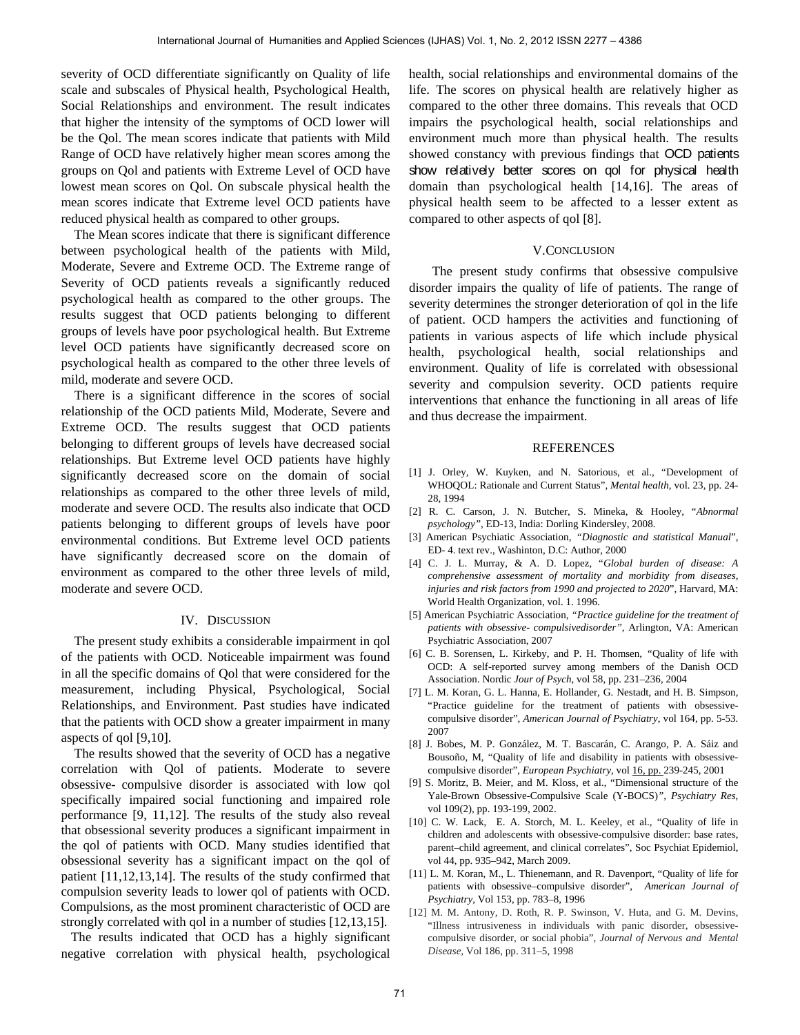severity of OCD differentiate significantly on Quality of life scale and subscales of Physical health, Psychological Health, Social Relationships and environment. The result indicates that higher the intensity of the symptoms of OCD lower will be the Qol. The mean scores indicate that patients with Mild Range of OCD have relatively higher mean scores among the groups on Qol and patients with Extreme Level of OCD have lowest mean scores on Qol. On subscale physical health the mean scores indicate that Extreme level OCD patients have reduced physical health as compared to other groups.

The Mean scores indicate that there is significant difference between psychological health of the patients with Mild, Moderate, Severe and Extreme OCD. The Extreme range of Severity of OCD patients reveals a significantly reduced psychological health as compared to the other groups. The results suggest that OCD patients belonging to different groups of levels have poor psychological health. But Extreme level OCD patients have significantly decreased score on psychological health as compared to the other three levels of mild, moderate and severe OCD.

There is a significant difference in the scores of social relationship of the OCD patients Mild, Moderate, Severe and Extreme OCD. The results suggest that OCD patients belonging to different groups of levels have decreased social relationships. But Extreme level OCD patients have highly significantly decreased score on the domain of social relationships as compared to the other three levels of mild, moderate and severe OCD. The results also indicate that OCD patients belonging to different groups of levels have poor environmental conditions. But Extreme level OCD patients have significantly decreased score on the domain of environment as compared to the other three levels of mild, moderate and severe OCD. International of Humanities and Applies Sciences (IJHAS) vol. 1, R 2, 2012 SSN 2277 – 4386 7201 and Applied Sciences (IJHAS) Vol. 1, No. 2, 2012 SSN 2277 – 4386 7277 – 4386 7277 – 4386 7277 – 4387 (The humanities and Appl

### IV. DISCUSSION

 The present study exhibits a considerable impairment in qol of the patients with OCD. Noticeable impairment was found in all the specific domains of Qol that were considered for the measurement, including Physical, Psychological, Social Relationships, and Environment. Past studies have indicated that the patients with OCD show a greater impairment in many aspects of qol [9,10].

The results showed that the severity of OCD has a negative correlation with Qol of patients. Moderate to severe obsessive- compulsive disorder is associated with low qol specifically impaired social functioning and impaired role performance [9, 11,12]. The results of the study also reveal that obsessional severity produces a significant impairment in the qol of patients with OCD. Many studies identified that obsessional severity has a significant impact on the qol of patient [11,12,13,14]. The results of the study confirmed that compulsion severity leads to lower qol of patients with OCD. Compulsions, as the most prominent characteristic of OCD are strongly correlated with qol in a number of studies [12,13,15].

 The results indicated that OCD has a highly significant negative correlation with physical health, psychological health, social relationships and environmental domains of the life. The scores on physical health are relatively higher as compared to the other three domains. This reveals that OCD impairs the psychological health, social relationships and environment much more than physical health. The results showed constancy with previous findings that OCD patients show relatively better scores on qol for physical health domain than psychological health [14,16]. The areas of physical health seem to be affected to a lesser extent as compared to other aspects of qol [8].

#### V.CONCLUSION

 The present study confirms that obsessive compulsive disorder impairs the quality of life of patients. The range of severity determines the stronger deterioration of qol in the life of patient. OCD hampers the activities and functioning of patients in various aspects of life which include physical health, psychological health, social relationships and environment. Quality of life is correlated with obsessional severity and compulsion severity. OCD patients require interventions that enhance the functioning in all areas of life and thus decrease the impairment.

#### REFERENCES

- [1] J. Orley, W. Kuyken, and N. Satorious, et al., "Development of WHOQOL: Rationale and Current Status", *Mental health,* vol. 23, pp. 24- 28, 1994
- [2] R. C. Carson, J. N. Butcher, S. Mineka, & Hooley, "*Abnormal psychology",* ED-13, India: Dorling Kindersley, 2008.
- [3] American Psychiatic Association, *"Diagnostic and statistical Manual*", ED- 4. text rev., Washinton, D.C: Author, 2000
- [4] C. J. L. Murray, & A. D. Lopez, "*Global burden of disease: A comprehensive assessment of mortality and morbidity from diseases, injuries and risk factors from 1990 and projected to 2020*", Harvard, MA: World Health Organization, vol. 1. 1996.
- [5] American Psychiatric Association, *"Practice guideline for the treatment of patients with obsessive- compulsivedisorder",* Arlington, VA: American Psychiatric Association, 2007
- [6] C. B. Sorensen, L. Kirkeby, and P. H. Thomsen, *"*Quality of life with OCD: A self-reported survey among members of the Danish OCD Association. Nordic *Jour of Psych*, vol 58, pp. 231–236, 2004
- [7] L. M. Koran, G. L. Hanna, E. Hollander, G. Nestadt, and H. B. Simpson, "Practice guideline for the treatment of patients with obsessivecompulsive disorder", *American Journal of Psychiatry*, vol 164, pp. 5-53. 2007
- [8] J. Bobes, M. P. González, M. T. Bascarán, C. Arango, P. A. Sáiz and Bousoño, M, "Quality of life and disability in patients with obsessivecompulsive disorder", *European Psychiatry,* vo[l 16, pp. 2](http://www.sciencedirect.com/science?_ob=PublicationURL&_tockey=%23TOC%236137%232001%23999839995%23253354%23FLA%23&_cdi=6137&_pubType=J&view=c&_auth=y&_acct=C000050221&_version=1&_urlVersion=0&_userid=10&md5=e033e6d2cbcc482b6a6a3a3d8bec47b3)39-245, 2001
- [9] S. Moritz, B. Meier, and M. Kloss, et al., "Dimensional structure of the Yale-Brown Obsessive-Compulsive Scale (Y-BOCS)*", Psychiatry Res*, vol 109(2), pp. 193-199, 2002.
- [10] C. W. Lack, E. A. Storch, M. L. Keeley, et al., "Quality of life in children and adolescents with obsessive-compulsive disorder: base rates, parent–child agreement, and clinical correlates", Soc Psychiat Epidemiol, vol 44, pp. 935–942, March 2009.
- [11] L. M. Koran, M., L. Thienemann, and R. Davenport, "Quality of life for patients with obsessive–compulsive disorder", *American Journal of Psychiatry,* Vol 153, pp. 783–8, 1996
- [12] M. M. Antony, D. Roth, R. P. Swinson, V. Huta, and G. M. Devins, "Illness intrusiveness in individuals with panic disorder, obsessivecompulsive disorder, or social phobia", *Journal of Nervous and Mental Disease,* Vol 186, pp. 311–5, 1998